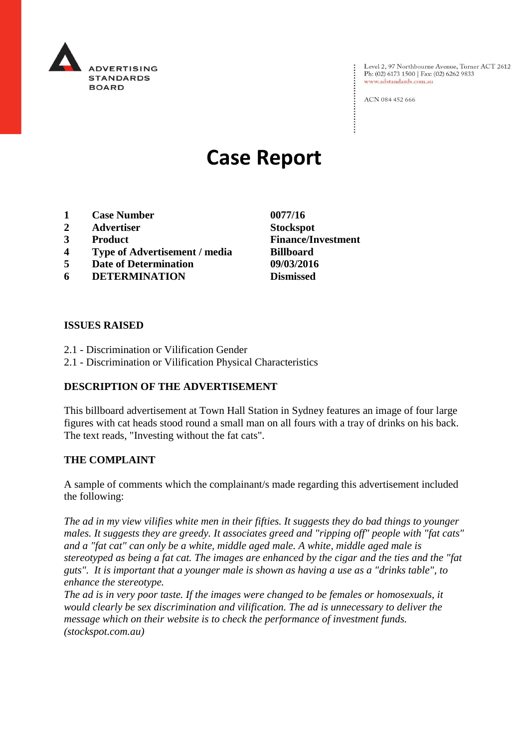

Level 2, 97 Northbourne Avenue, Turner ACT 2612 Ph: (02) 6173 1500 | Fax: (02) 6262 9833 www.adstandards.com.au

ACN 084 452 666

# **Case Report**

- **1 Case Number 0077/16**
- **2 Advertiser Stockspot**
- 
- **4 Type of Advertisement / media Billboard**
- **5 Date of Determination 09/03/2016**
- **6 DETERMINATION Dismissed**
- **ISSUES RAISED**
- 2.1 Discrimination or Vilification Gender
- 2.1 Discrimination or Vilification Physical Characteristics

## **DESCRIPTION OF THE ADVERTISEMENT**

This billboard advertisement at Town Hall Station in Sydney features an image of four large figures with cat heads stood round a small man on all fours with a tray of drinks on his back. The text reads, "Investing without the fat cats".

### **THE COMPLAINT**

A sample of comments which the complainant/s made regarding this advertisement included the following:

*The ad in my view vilifies white men in their fifties. It suggests they do bad things to younger males. It suggests they are greedy. It associates greed and "ripping off" people with "fat cats" and a "fat cat" can only be a white, middle aged male. A white, middle aged male is stereotyped as being a fat cat. The images are enhanced by the cigar and the ties and the "fat guts". It is important that a younger male is shown as having a use as a "drinks table", to enhance the stereotype.*

*The ad is in very poor taste. If the images were changed to be females or homosexuals, it would clearly be sex discrimination and vilification. The ad is unnecessary to deliver the message which on their website is to check the performance of investment funds. (stockspot.com.au)*

**3 Product Finance/Investment**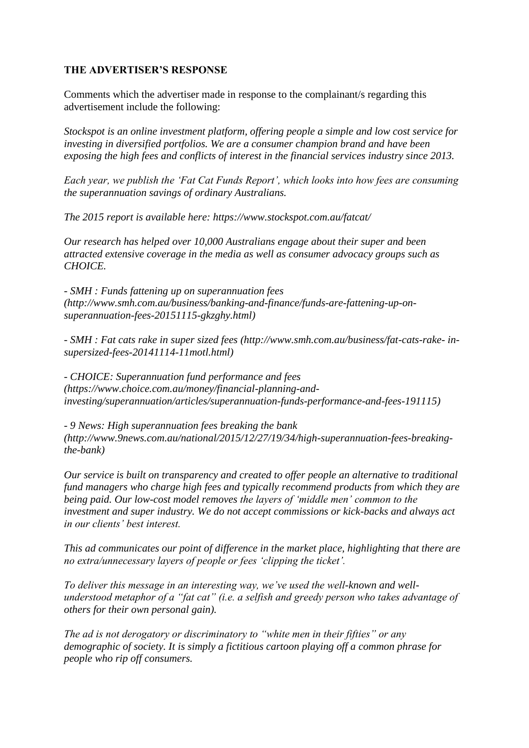## **THE ADVERTISER'S RESPONSE**

Comments which the advertiser made in response to the complainant/s regarding this advertisement include the following:

*Stockspot is an online investment platform, offering people a simple and low cost service for investing in diversified portfolios. We are a consumer champion brand and have been exposing the high fees and conflicts of interest in the financial services industry since 2013.*

*Each year, we publish the 'Fat Cat Funds Report', which looks into how fees are consuming the superannuation savings of ordinary Australians.*

*The 2015 report is available here: https://www.stockspot.com.au/fatcat/*

*Our research has helped over 10,000 Australians engage about their super and been attracted extensive coverage in the media as well as consumer advocacy groups such as CHOICE.*

*- SMH : Funds fattening up on superannuation fees (http://www.smh.com.au/business/banking-and-finance/funds-are-fattening-up-onsuperannuation-fees-20151115-gkzghy.html)*

*- SMH : Fat cats rake in super sized fees (http://www.smh.com.au/business/fat-cats-rake- insupersized-fees-20141114-11motl.html)*

*- CHOICE: Superannuation fund performance and fees (https://www.choice.com.au/money/financial-planning-andinvesting/superannuation/articles/superannuation-funds-performance-and-fees-191115)*

*- 9 News: High superannuation fees breaking the bank (http://www.9news.com.au/national/2015/12/27/19/34/high-superannuation-fees-breakingthe-bank)*

*Our service is built on transparency and created to offer people an alternative to traditional fund managers who charge high fees and typically recommend products from which they are being paid. Our low-cost model removes the layers of 'middle men' common to the investment and super industry. We do not accept commissions or kick-backs and always act in our clients' best interest.*

*This ad communicates our point of difference in the market place, highlighting that there are no extra/unnecessary layers of people or fees 'clipping the ticket'.*

*To deliver this message in an interesting way, we've used the well-known and wellunderstood metaphor of a "fat cat" (i.e. a selfish and greedy person who takes advantage of others for their own personal gain).*

*The ad is not derogatory or discriminatory to "white men in their fifties" or any demographic of society. It is simply a fictitious cartoon playing off a common phrase for people who rip off consumers.*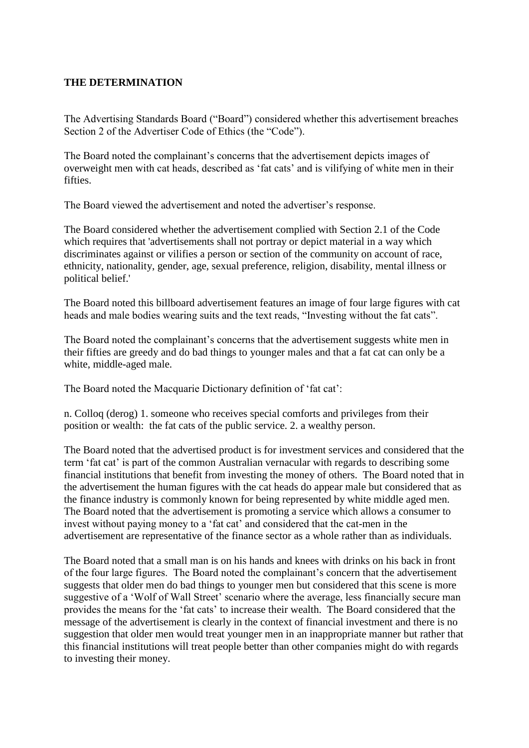#### **THE DETERMINATION**

The Advertising Standards Board ("Board") considered whether this advertisement breaches Section 2 of the Advertiser Code of Ethics (the "Code").

The Board noted the complainant's concerns that the advertisement depicts images of overweight men with cat heads, described as 'fat cats' and is vilifying of white men in their fifties.

The Board viewed the advertisement and noted the advertiser's response.

The Board considered whether the advertisement complied with Section 2.1 of the Code which requires that 'advertisements shall not portray or depict material in a way which discriminates against or vilifies a person or section of the community on account of race, ethnicity, nationality, gender, age, sexual preference, religion, disability, mental illness or political belief.'

The Board noted this billboard advertisement features an image of four large figures with cat heads and male bodies wearing suits and the text reads, "Investing without the fat cats".

The Board noted the complainant's concerns that the advertisement suggests white men in their fifties are greedy and do bad things to younger males and that a fat cat can only be a white, middle-aged male.

The Board noted the Macquarie Dictionary definition of 'fat cat':

n. Colloq (derog) 1. someone who receives special comforts and privileges from their position or wealth: the fat cats of the public service. 2. a wealthy person.

The Board noted that the advertised product is for investment services and considered that the term 'fat cat' is part of the common Australian vernacular with regards to describing some financial institutions that benefit from investing the money of others. The Board noted that in the advertisement the human figures with the cat heads do appear male but considered that as the finance industry is commonly known for being represented by white middle aged men. The Board noted that the advertisement is promoting a service which allows a consumer to invest without paying money to a 'fat cat' and considered that the cat-men in the advertisement are representative of the finance sector as a whole rather than as individuals.

The Board noted that a small man is on his hands and knees with drinks on his back in front of the four large figures. The Board noted the complainant's concern that the advertisement suggests that older men do bad things to younger men but considered that this scene is more suggestive of a 'Wolf of Wall Street' scenario where the average, less financially secure man provides the means for the 'fat cats' to increase their wealth. The Board considered that the message of the advertisement is clearly in the context of financial investment and there is no suggestion that older men would treat younger men in an inappropriate manner but rather that this financial institutions will treat people better than other companies might do with regards to investing their money.